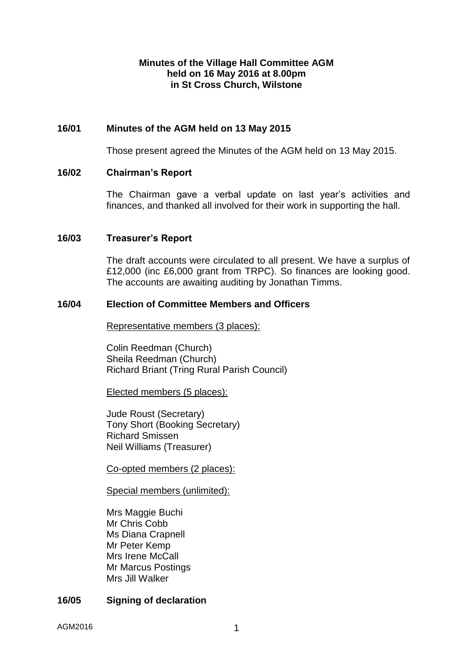## **Minutes of the Village Hall Committee AGM held on 16 May 2016 at 8.00pm in St Cross Church, Wilstone**

# **16/01 Minutes of the AGM held on 13 May 2015**

Those present agreed the Minutes of the AGM held on 13 May 2015.

### **16/02 Chairman's Report**

The Chairman gave a verbal update on last year's activities and finances, and thanked all involved for their work in supporting the hall.

## **16/03 Treasurer's Report**

The draft accounts were circulated to all present. We have a surplus of £12,000 (inc £6,000 grant from TRPC). So finances are looking good. The accounts are awaiting auditing by Jonathan Timms.

### **16/04 Election of Committee Members and Officers**

Representative members (3 places):

Colin Reedman (Church) Sheila Reedman (Church) Richard Briant (Tring Rural Parish Council)

Elected members (5 places):

Jude Roust (Secretary) Tony Short (Booking Secretary) Richard Smissen Neil Williams (Treasurer)

Co-opted members (2 places):

Special members (unlimited):

Mrs Maggie Buchi Mr Chris Cobb Ms Diana Crapnell Mr Peter Kemp Mrs Irene McCall Mr Marcus Postings Mrs Jill Walker

# **16/05 Signing of declaration**